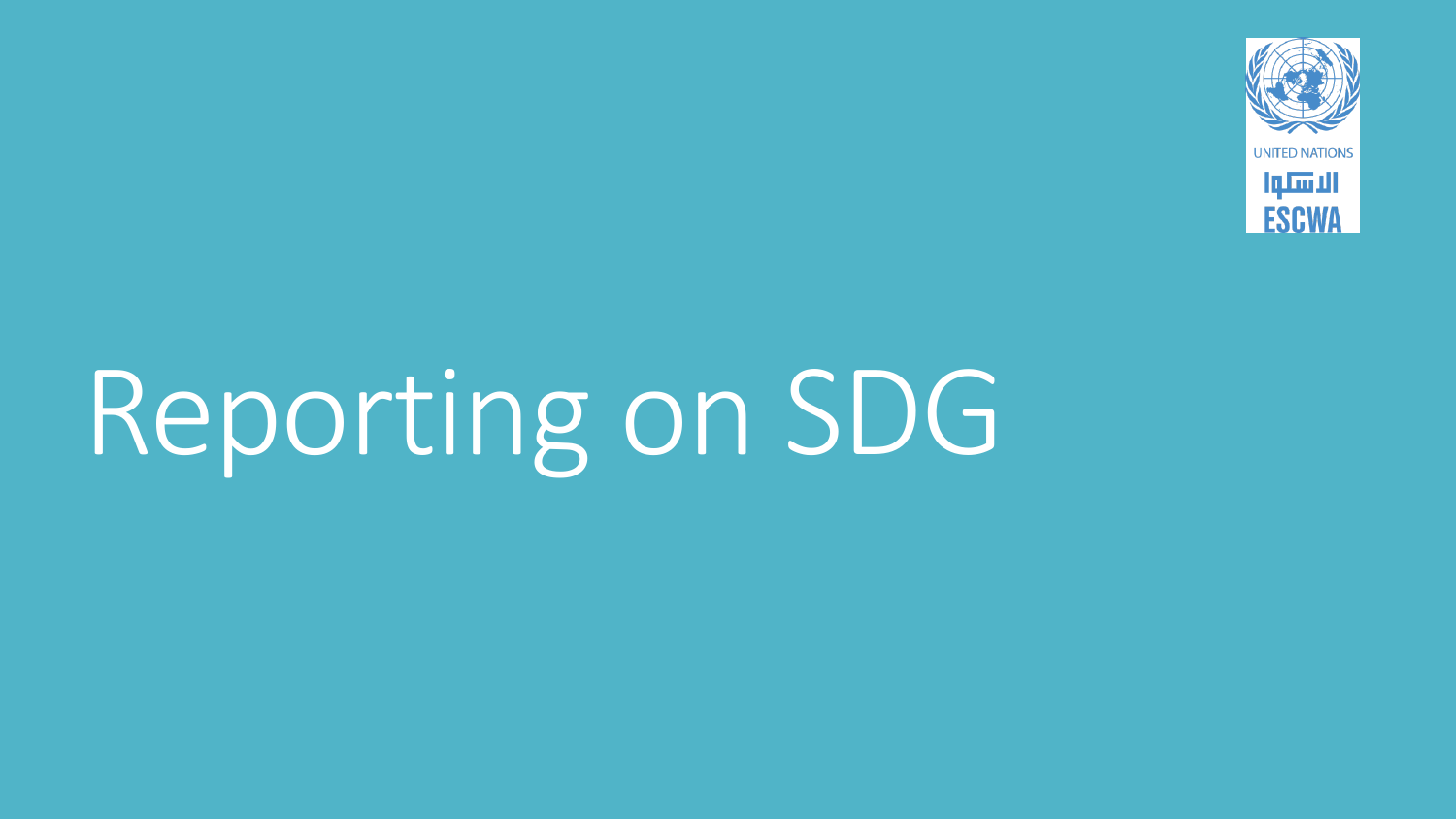

# Reporting on SDG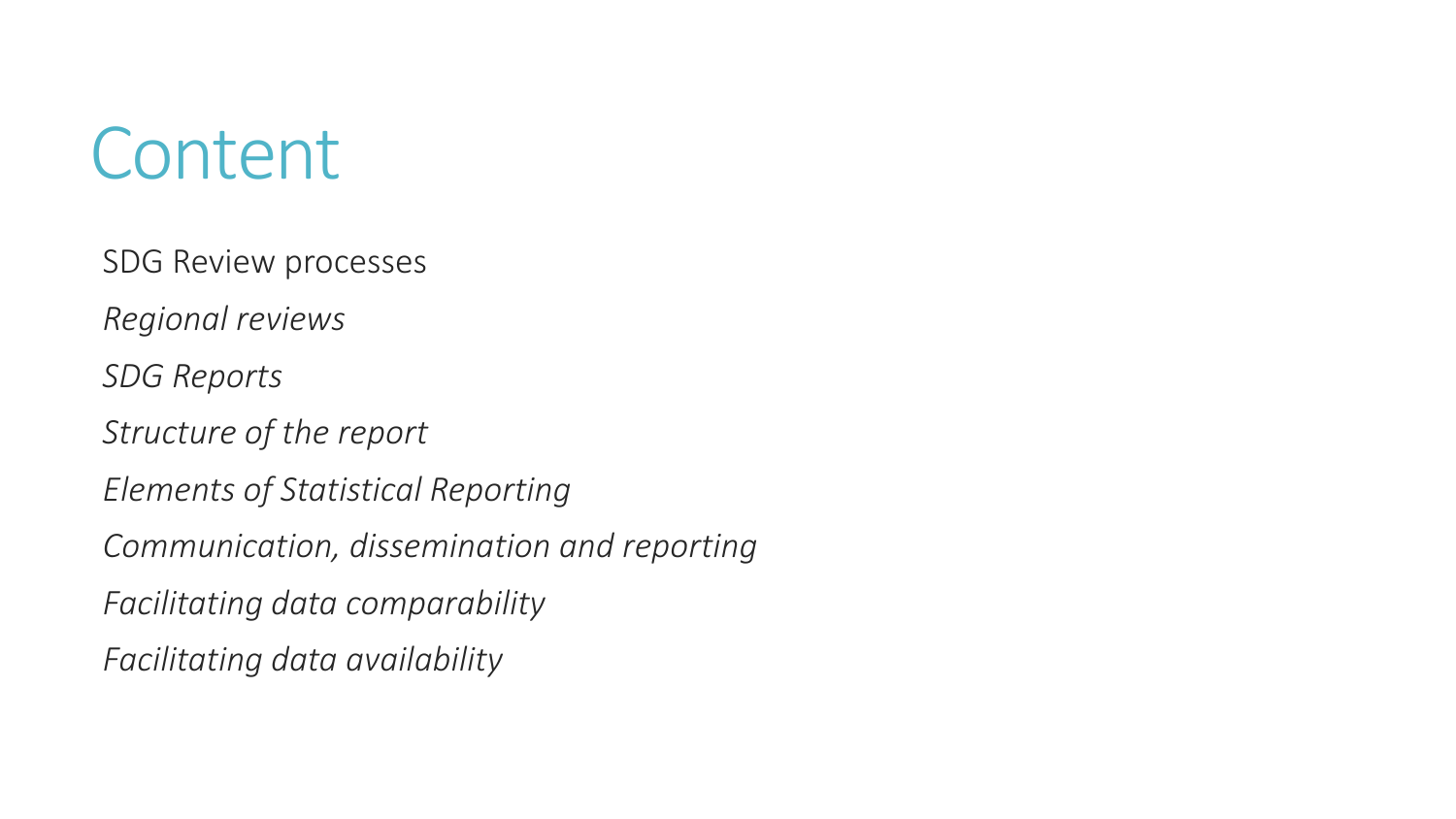## **Content**

SDG Review processes

*Regional reviews*

*SDG Reports*

*Structure of the report*

*Elements of Statistical Reporting*

*Communication, dissemination and reporting*

*Facilitating data comparability*

*Facilitating data availability*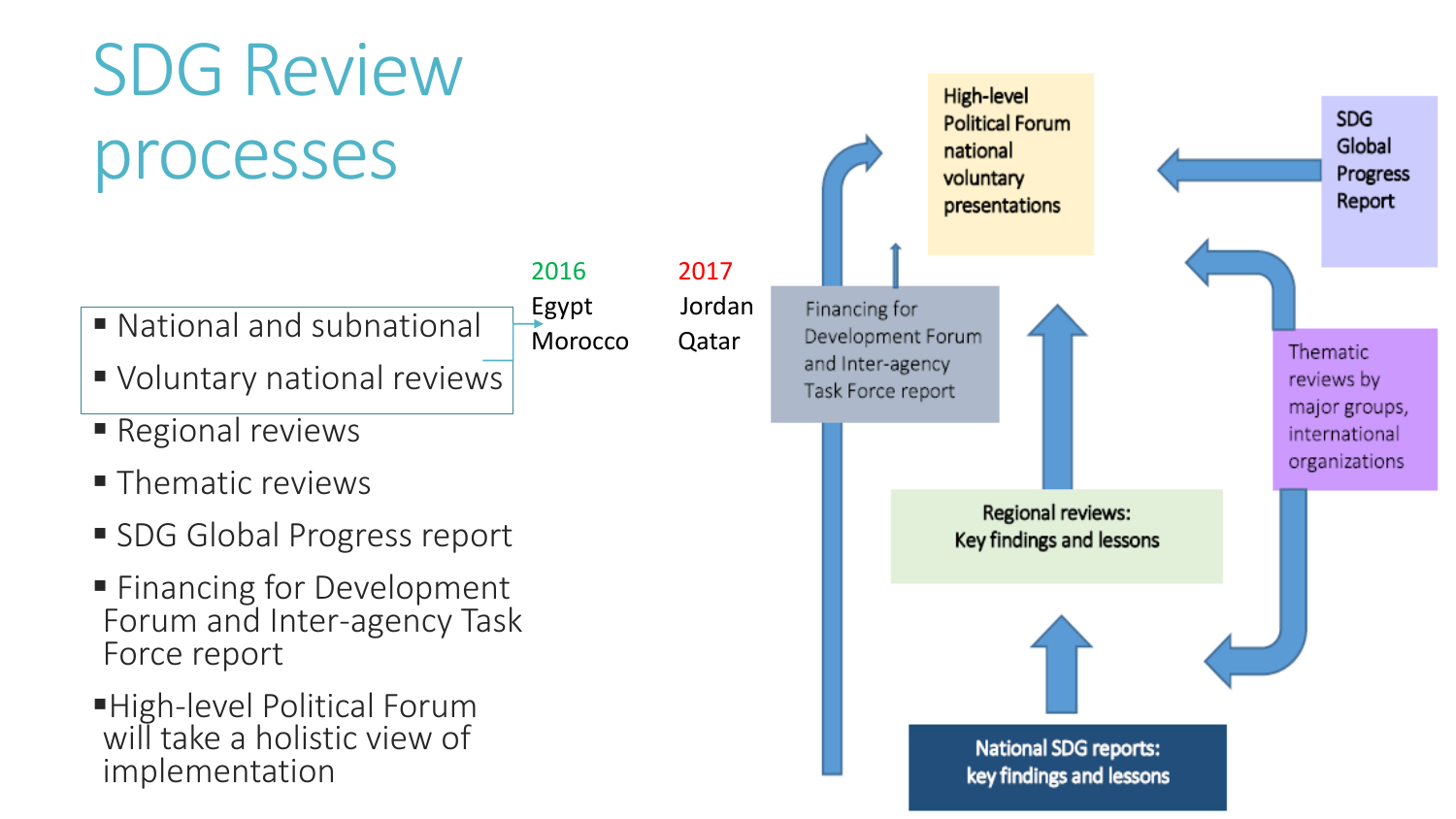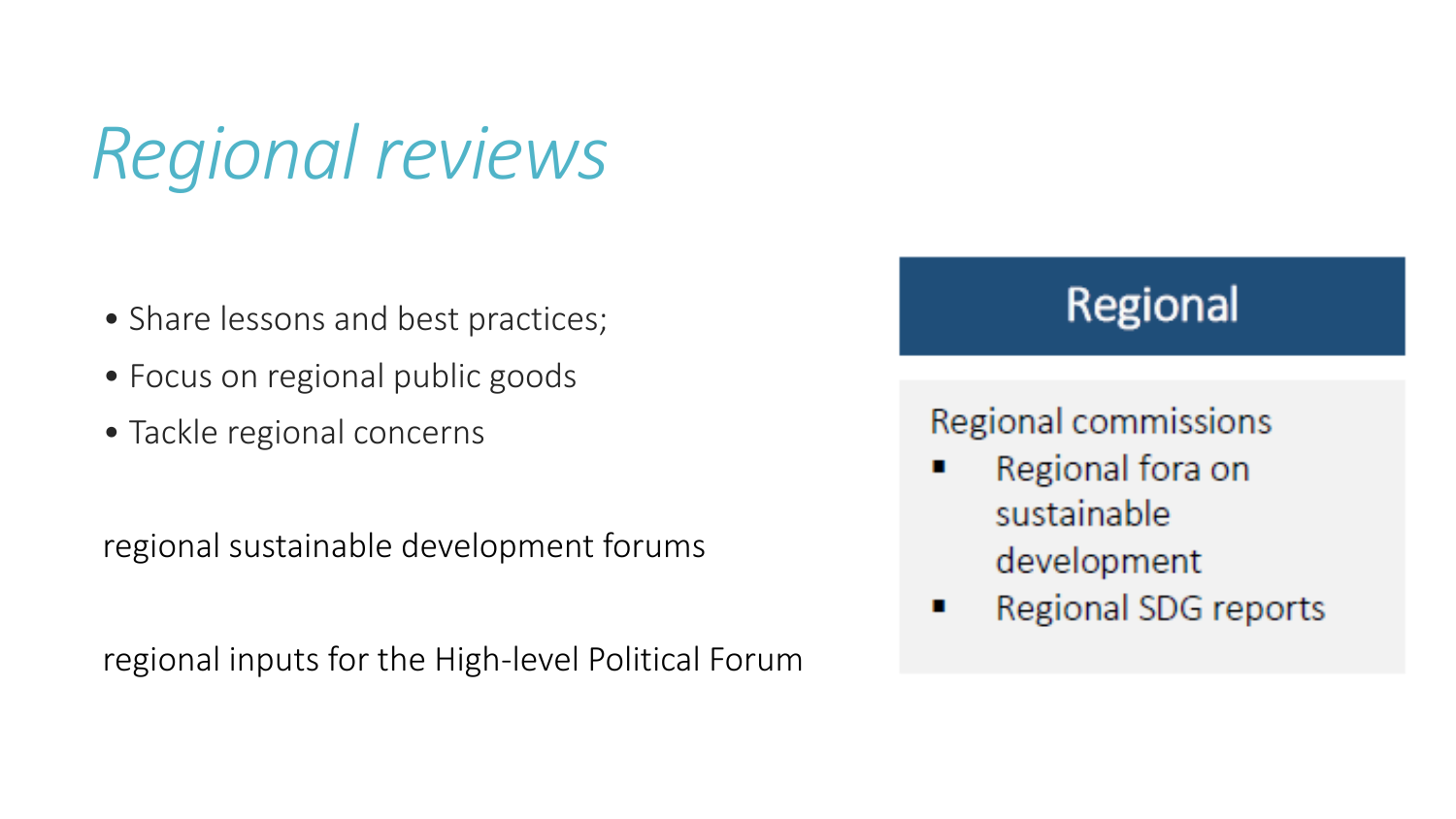*Regional reviews*

- Share lessons and best practices;
- Focus on regional public goods
- Tackle regional concerns

regional sustainable development forums

regional inputs for the High-level Political Forum

### Regional

### Regional commissions

- Regional fora on sustainable development
- Regional SDG reports H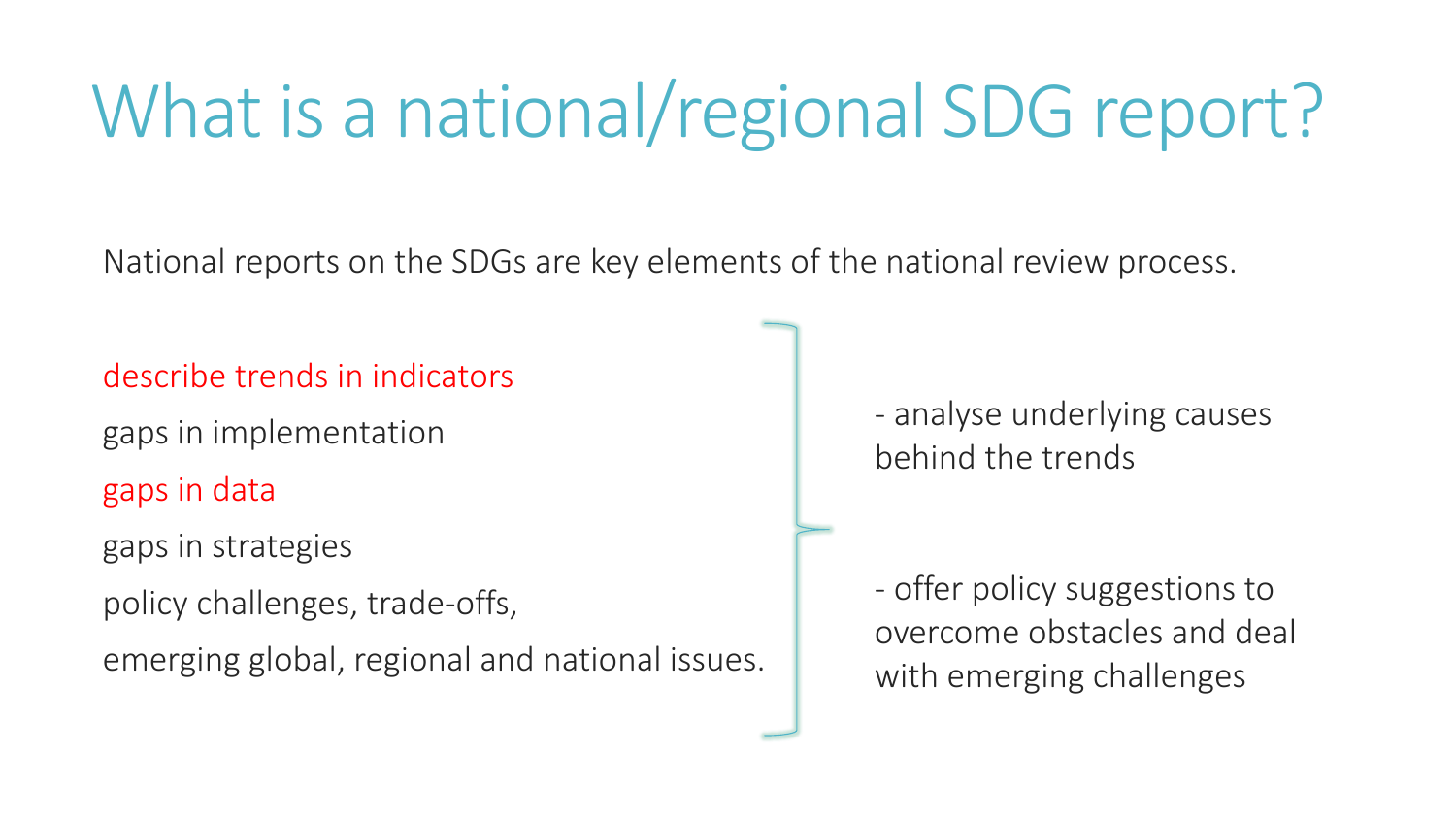## What is a national/regional SDG report?

National reports on the SDGs are key elements of the national review process.

describe trends in indicators

gaps in implementation

gaps in data

gaps in strategies

policy challenges, trade-offs,

emerging global, regional and national issues.

- analyse underlying causes behind the trends

- offer policy suggestions to overcome obstacles and deal with emerging challenges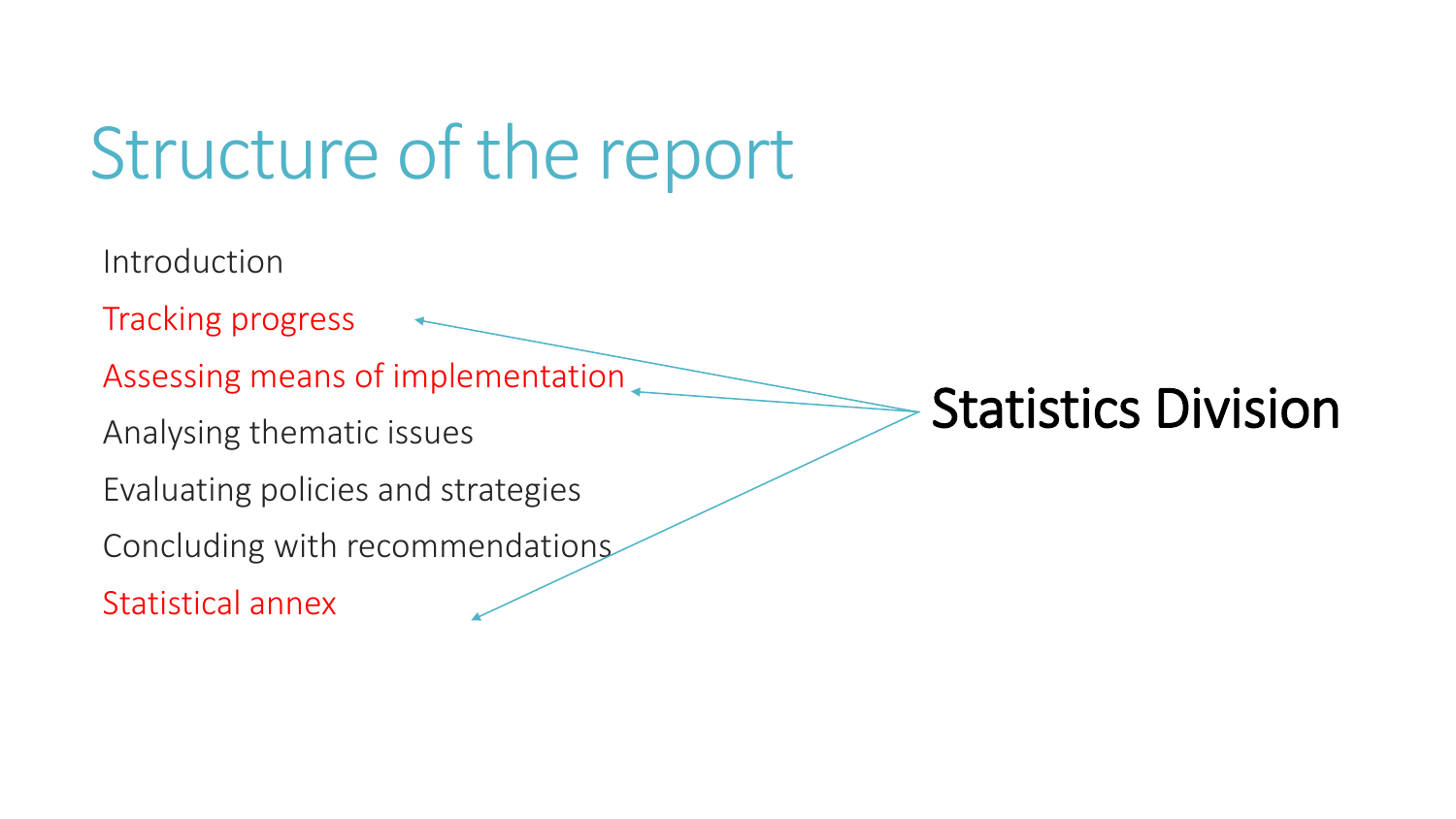## Structure of the report

Introduction Tracking progress Assessing means of implementation Analysing thematic issues Evaluating policies and strategies Concluding with recommendations Statistical annex Statistics Division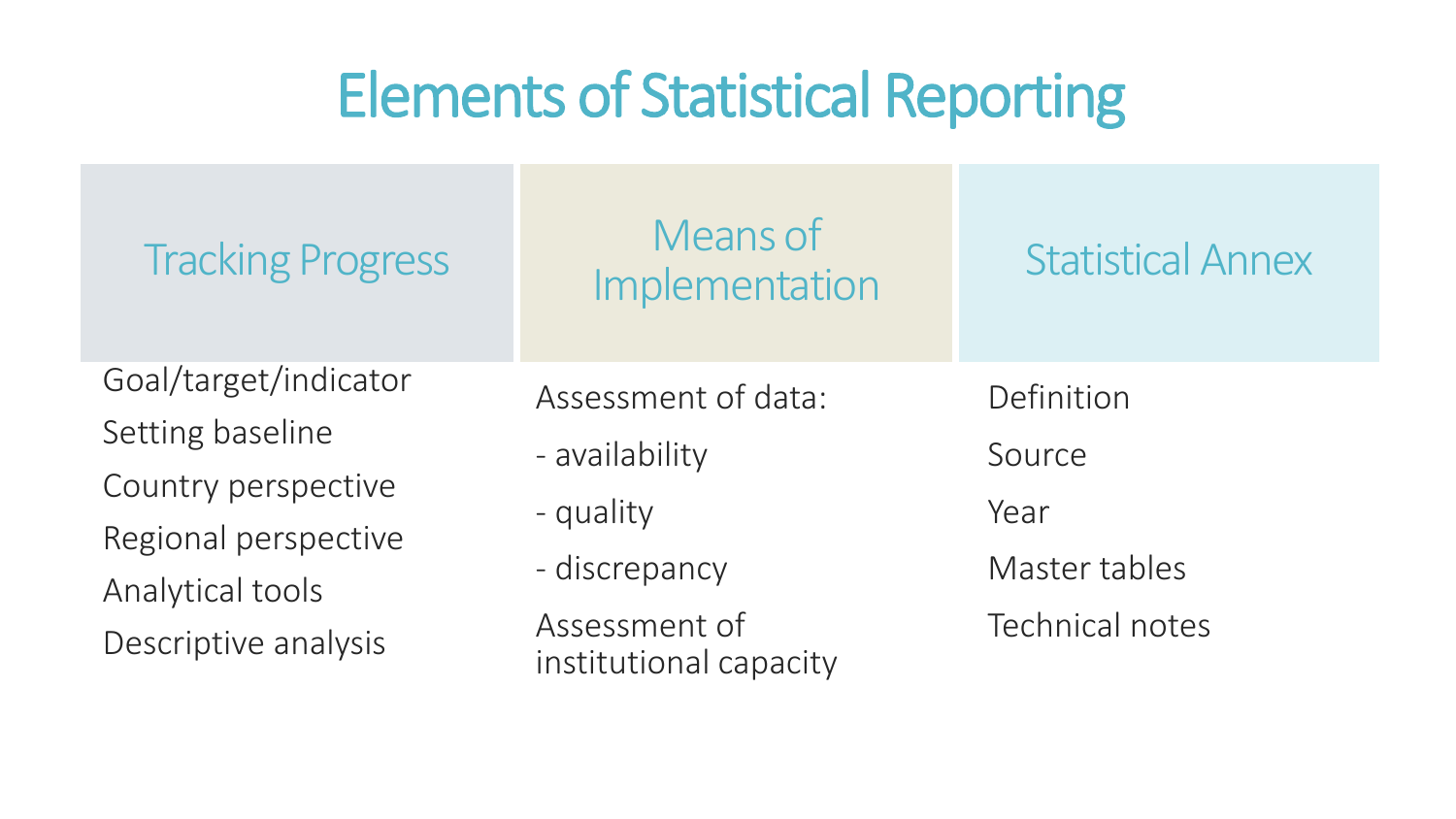### Elements of Statistical Reporting

| <b>Tracking Progress</b>                 | Means of<br>Implementation              | <b>Statistical Annex</b> |
|------------------------------------------|-----------------------------------------|--------------------------|
| Goal/target/indicator                    | Assessment of data:                     | Definition               |
| Setting baseline                         | - availability                          | Source                   |
| Country perspective                      | - quality                               | Year                     |
| Regional perspective                     | - discrepancy                           | Master tables            |
| Analytical tools<br>Descriptive analysis | Assessment of<br>institutional capacity | <b>Technical notes</b>   |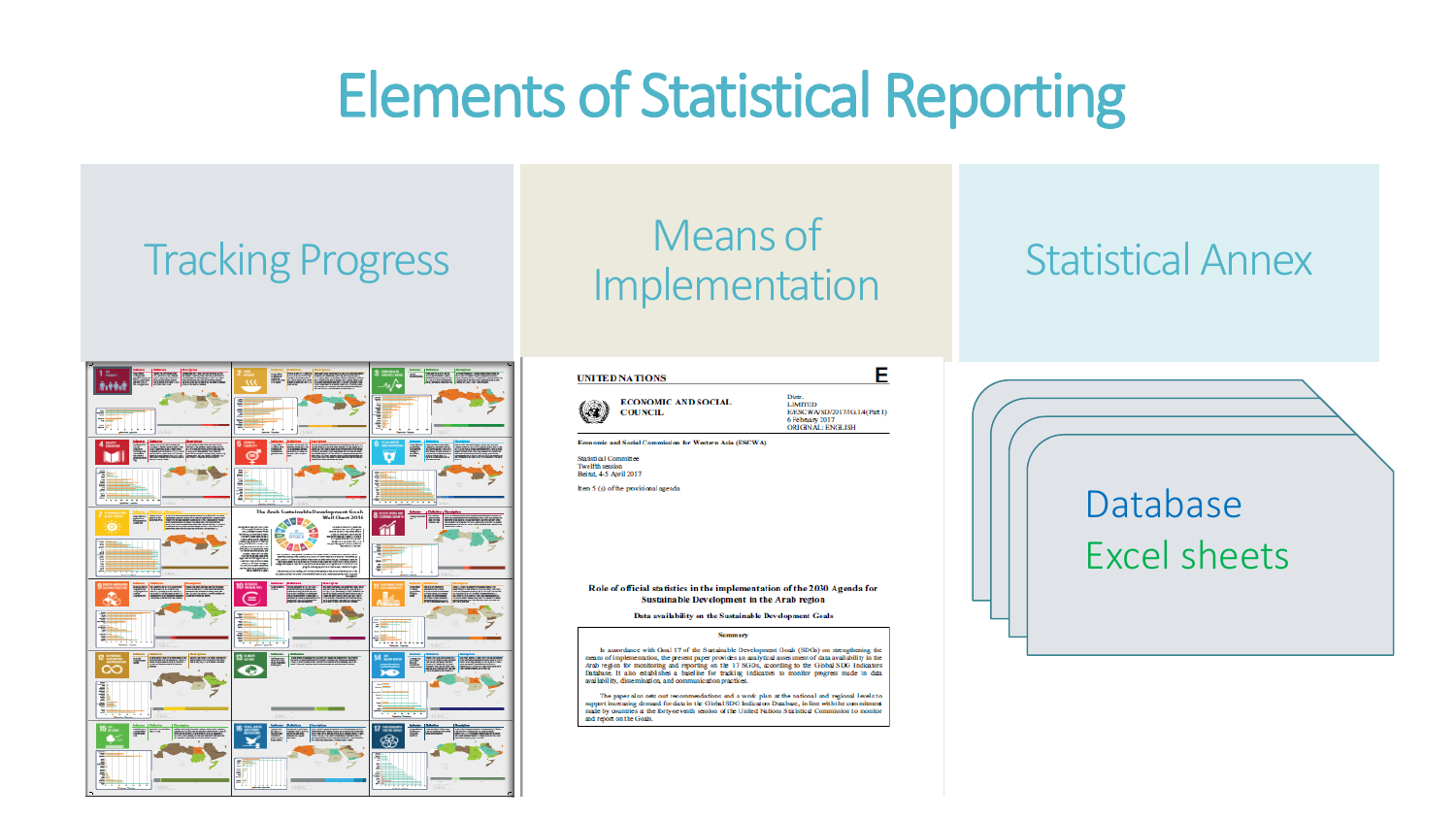### Elements of Statistical Reporting

### Tracking Progress Means of Implementation Statistical Annex

Database

Excel sheets

<u>data pada sebagai pada ang dari dan ing dalam pada ang dalam pada ang dalam pada ang dalam pada ang dalam pada ang dalam pada ang dalam pada ang dalam pada ang dalam pada ang dalam pada ang dalam pada ang dalam pada ang d</u>

 $\Box$ 



| <b>UNITED NATIONS</b> |                                              |  |
|-----------------------|----------------------------------------------|--|
|                       | <b>ECONOMIC AND SOCIAL</b><br><b>COUNCIL</b> |  |

Distr. **LIMITED** E/ESCWA/SD/2017/IG 1/4(Part D) 6 February 2017<br>ORIGINAL: ENGLISH

E

Economic and Social Commission for Western Asia (ESCWA)

Statistical Committee Twelfth session<br>Beinut, 4-5 April 2017 Item 5 (a) of the provisional agenda

### Role of official statistics in the implementation of the 2030 Agenda for Sustainable Development in the Arab region

### Data availability on the Sustainable Development Goals

### Summary

In accordance with Goal 17 of the Sustainable Development Goals (SDGs) on strengthening the neans of implementation, the present paper provides an analytical assessment of data availability in the Arab region for monitoring and reporting on the 17 SGDs, according to the Global SDG Indicators<br>Database. It also establishes a baseline for tracking indicators to monitor progress made in data availability, dissemination, and communication practices

The paper also sets out recommendations and a work plan at the national and regional levels to support increasing demand for data in the Global SDG Indicators Database, in line with the commitment made by countries at the forty-seventh session of the United Nations Statistical Commission to monitor and report on the Goals.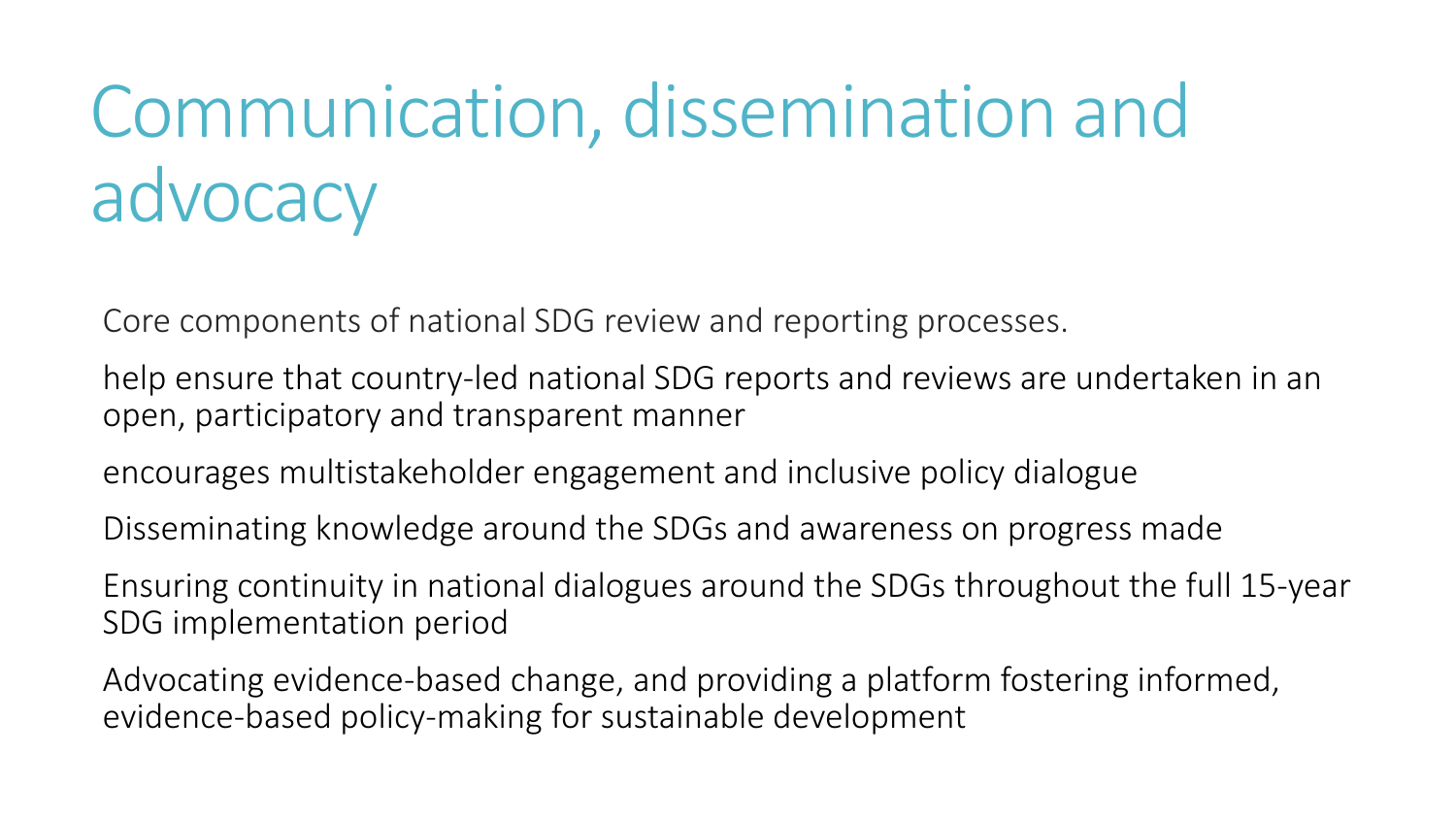## Communication, dissemination and advocacy

Core components of national SDG review and reporting processes.

help ensure that country-led national SDG reports and reviews are undertaken in an open, participatory and transparent manner

encourages multistakeholder engagement and inclusive policy dialogue

Disseminating knowledge around the SDGs and awareness on progress made

Ensuring continuity in national dialogues around the SDGs throughout the full 15-year SDG implementation period

Advocating evidence-based change, and providing a platform fostering informed, evidence-based policy-making for sustainable development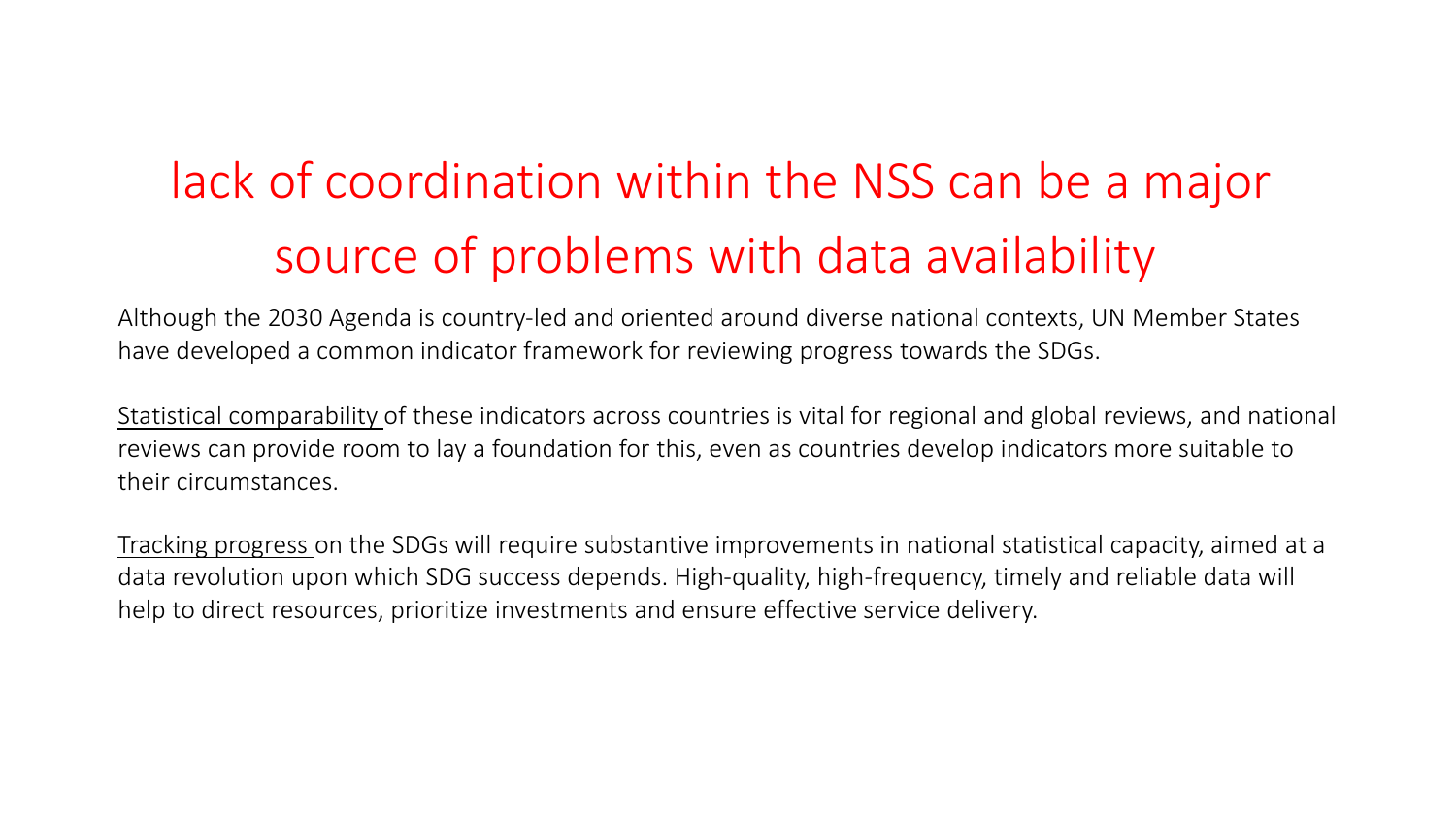### lack of coordination within the NSS can be a major source of problems with data availability

Although the 2030 Agenda is country-led and oriented around diverse national contexts, UN Member States have developed a common indicator framework for reviewing progress towards the SDGs.

Statistical comparability of these indicators across countries is vital for regional and global reviews, and national reviews can provide room to lay a foundation for this, even as countries develop indicators more suitable to their circumstances.

Tracking progress on the SDGs will require substantive improvements in national statistical capacity, aimed at a data revolution upon which SDG success depends. High-quality, high-frequency, timely and reliable data will help to direct resources, prioritize investments and ensure effective service delivery.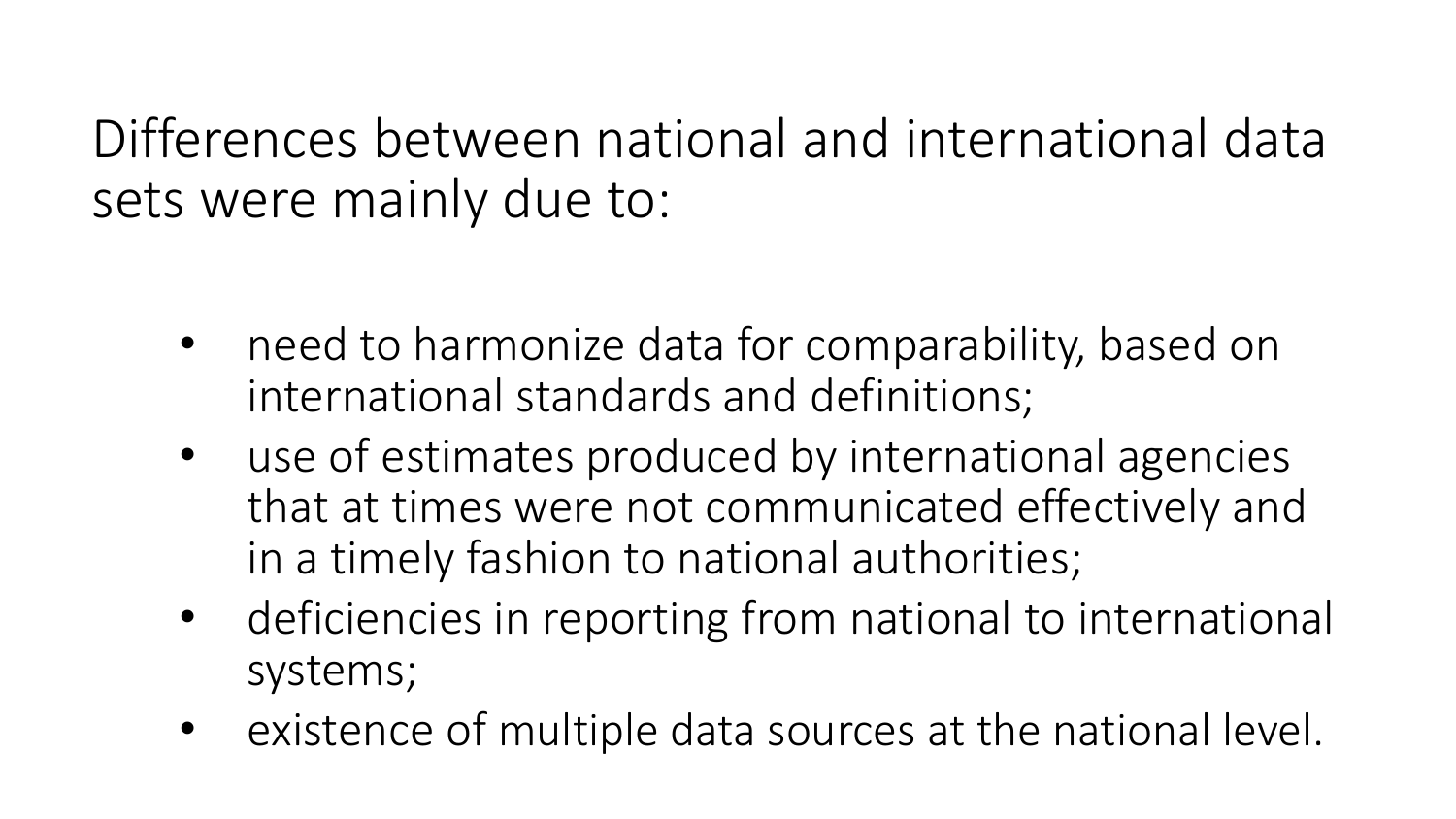Differences between national and international data sets were mainly due to:

- need to harmonize data for comparability, based on international standards and definitions;
- use of estimates produced by international agencies that at times were not communicated effectively and in a timely fashion to national authorities;
- deficiencies in reporting from national to international systems;
- existence of multiple data sources at the national level.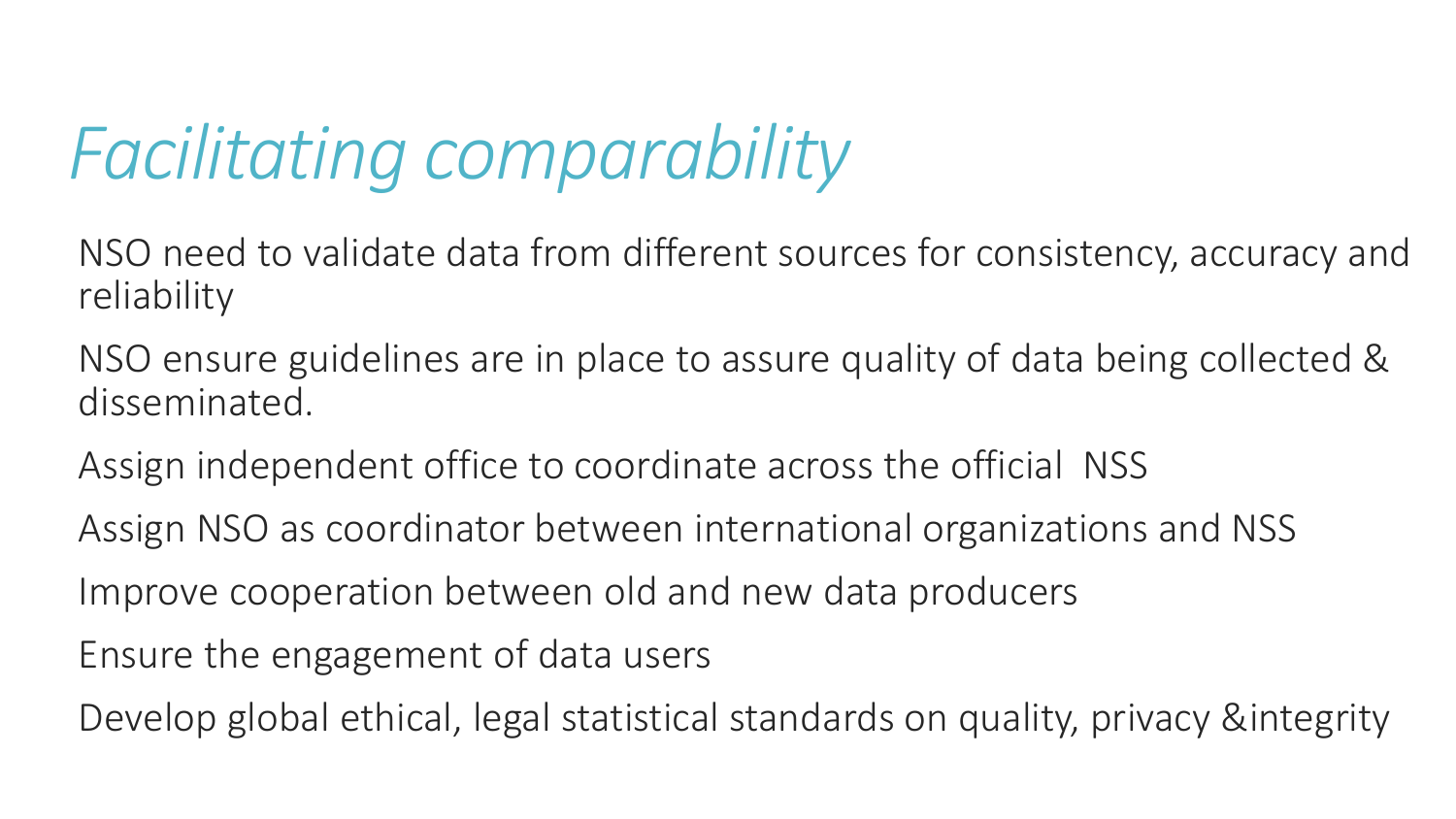## *Facilitating comparability*

NSO need to validate data from different sources for consistency, accuracy and reliability

NSO ensure guidelines are in place to assure quality of data being collected & disseminated.

Assign independent office to coordinate across the official NSS

Assign NSO as coordinator between international organizations and NSS

Improve cooperation between old and new data producers

Ensure the engagement of data users

Develop global ethical, legal statistical standards on quality, privacy &integrity